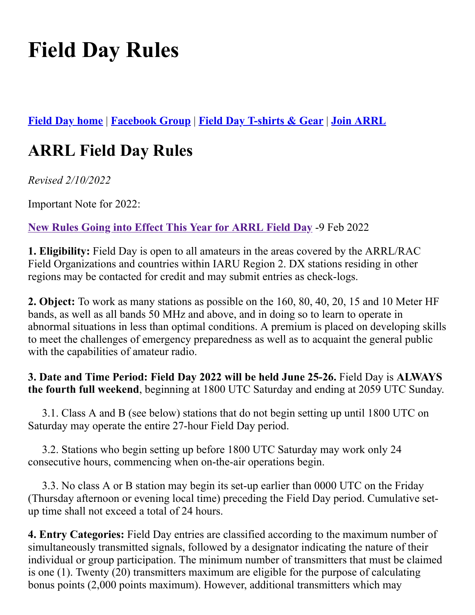# **Field Day Rules**

**[Field Day home](http://www.arrl.org/FieldDay)** | **[Facebook Group](https://www.facebook.com/groups/1966096706830030/)** | **[Field Day T-shirts &](http://www.arrl.org/shop/FieldDay/) Gear** | **[Join ARRL](http://www.arrl.org/join)**

# **ARRL Field Day Rules**

*Revised 2/10/2022*

Important Note for 2022:

**[New Rules Going into Effect This Year for ARRL Field Day](http://arrl.org/news/some-new-rules-going-into-effect-this-year-for-arrl-field-day)** -9 Feb 2022

**1. Eligibility:** Field Day is open to all amateurs in the areas covered by the ARRL/RAC Field Organizations and countries within IARU Region 2. DX stations residing in other regions may be contacted for credit and may submit entries as check-logs.

**2. Object:** To work as many stations as possible on the 160, 80, 40, 20, 15 and 10 Meter HF bands, as well as all bands 50 MHz and above, and in doing so to learn to operate in abnormal situations in less than optimal conditions. A premium is placed on developing skills to meet the challenges of emergency preparedness as well as to acquaint the general public with the capabilities of amateur radio.

**3. Date and Time Period: Field Day 2022 will be held June 25-26.** Field Day is **ALWAYS the fourth full weekend**, beginning at 1800 UTC Saturday and ending at 2059 UTC Sunday.

 3.1. Class A and B (see below) stations that do not begin setting up until 1800 UTC on Saturday may operate the entire 27-hour Field Day period.

 3.2. Stations who begin setting up before 1800 UTC Saturday may work only 24 consecutive hours, commencing when on-the-air operations begin.

 3.3. No class A or B station may begin its set-up earlier than 0000 UTC on the Friday (Thursday afternoon or evening local time) preceding the Field Day period. Cumulative setup time shall not exceed a total of 24 hours.

**4. Entry Categories:** Field Day entries are classified according to the maximum number of simultaneously transmitted signals, followed by a designator indicating the nature of their individual or group participation. The minimum number of transmitters that must be claimed is one (1). Twenty (20) transmitters maximum are eligible for the purpose of calculating bonus points (2,000 points maximum). However, additional transmitters which may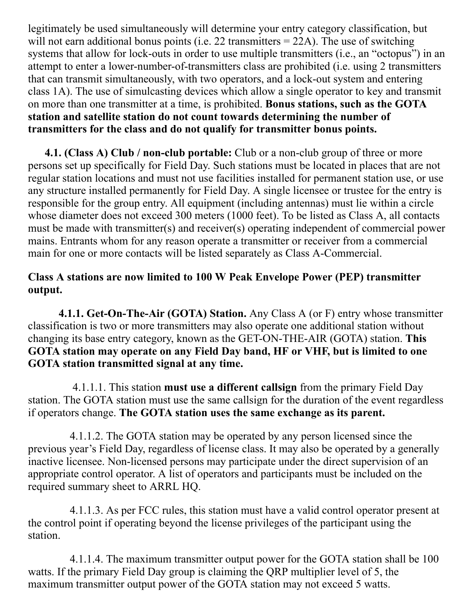legitimately be used simultaneously will determine your entry category classification, but will not earn additional bonus points (i.e. 22 transmitters  $= 22A$ ). The use of switching systems that allow for lock-outs in order to use multiple transmitters (i.e., an "octopus") in an attempt to enter a lower-number-of-transmitters class are prohibited (i.e. using 2 transmitters that can transmit simultaneously, with two operators, and a lock-out system and entering class 1A). The use of simulcasting devices which allow a single operator to key and transmit on more than one transmitter at a time, is prohibited. **Bonus stations, such as the GOTA station and satellite station do not count towards determining the number of transmitters for the class and do not qualify for transmitter bonus points.**

**4.1. (Class A) Club / non-club portable:** Club or a non-club group of three or more persons set up specifically for Field Day. Such stations must be located in places that are not regular station locations and must not use facilities installed for permanent station use, or use any structure installed permanently for Field Day. A single licensee or trustee for the entry is responsible for the group entry. All equipment (including antennas) must lie within a circle whose diameter does not exceed 300 meters (1000 feet). To be listed as Class A, all contacts must be made with transmitter(s) and receiver(s) operating independent of commercial power mains. Entrants whom for any reason operate a transmitter or receiver from a commercial main for one or more contacts will be listed separately as Class A-Commercial.

# **Class A stations are now limited to 100 W Peak Envelope Power (PEP) transmitter output.**

**4.1.1. Get-On-The-Air (GOTA) Station.** Any Class A (or F) entry whose transmitter classification is two or more transmitters may also operate one additional station without changing its base entry category, known as the GET-ON-THE-AIR (GOTA) station. **This GOTA station may operate on any Field Day band, HF or VHF, but is limited to one GOTA station transmitted signal at any time.**

4.1.1.1. This station **must use a different callsign** from the primary Field Day station. The GOTA station must use the same callsign for the duration of the event regardless if operators change. **The GOTA station uses the same exchange as its parent.**

4.1.1.2. The GOTA station may be operated by any person licensed since the previous year's Field Day, regardless of license class. It may also be operated by a generally inactive licensee. Non-licensed persons may participate under the direct supervision of an appropriate control operator. A list of operators and participants must be included on the required summary sheet to ARRL HQ.

 4.1.1.3. As per FCC rules, this station must have a valid control operator present at the control point if operating beyond the license privileges of the participant using the station.

4.1.1.4. The maximum transmitter output power for the GOTA station shall be 100 watts. If the primary Field Day group is claiming the QRP multiplier level of 5, the maximum transmitter output power of the GOTA station may not exceed 5 watts.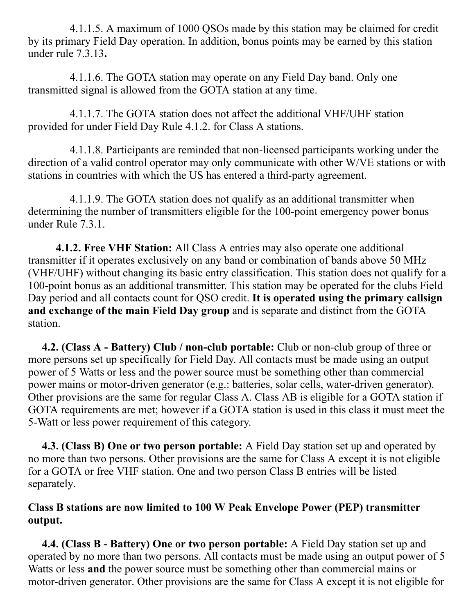4.1.1.5. A maximum of 1000 QSOs made by this station may be claimed for credit by its primary Field Day operation. In addition, bonus points may be earned by this station under rule 7.3.13**.**

4.1.1.6. The GOTA station may operate on any Field Day band. Only one transmitted signal is allowed from the GOTA station at any time.

4.1.1.7. The GOTA station does not affect the additional VHF/UHF station provided for under Field Day Rule 4.1.2. for Class A stations.

4.1.1.8. Participants are reminded that non-licensed participants working under the direction of a valid control operator may only communicate with other W/VE stations or with stations in countries with which the US has entered a third-party agreement.

4.1.1.9. The GOTA station does not qualify as an additional transmitter when determining the number of transmitters eligible for the 100-point emergency power bonus under Rule 7.3.1.

**4.1.2. Free VHF Station:** All Class A entries may also operate one additional transmitter if it operates exclusively on any band or combination of bands above 50 MHz (VHF/UHF) without changing its basic entry classification. This station does not qualify for a 100-point bonus as an additional transmitter. This station may be operated for the clubs Field Day period and all contacts count for QSO credit. **It is operated using the primary callsign and exchange of the main Field Day group** and is separate and distinct from the GOTA station.

**4.2. (Class A - Battery) Club / non-club portable:** Club or non-club group of three or more persons set up specifically for Field Day. All contacts must be made using an output power of 5 Watts or less and the power source must be something other than commercial power mains or motor-driven generator (e.g.: batteries, solar cells, water-driven generator). Other provisions are the same for regular Class A. Class AB is eligible for a GOTA station if GOTA requirements are met; however if a GOTA station is used in this class it must meet the 5-Watt or less power requirement of this category.

**4.3. (Class B) One or two person portable:** A Field Day station set up and operated by no more than two persons. Other provisions are the same for Class A except it is not eligible for a GOTA or free VHF station. One and two person Class B entries will be listed separately.

#### **Class B stations are now limited to 100 W Peak Envelope Power (PEP) transmitter output.**

**4.4. (Class B - Battery) One or two person portable:** A Field Day station set up and operated by no more than two persons. All contacts must be made using an output power of 5 Watts or less **and** the power source must be something other than commercial mains or motor-driven generator. Other provisions are the same for Class A except it is not eligible for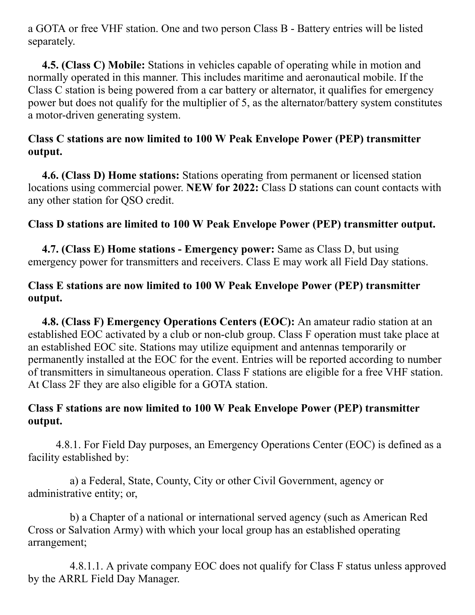a GOTA or free VHF station. One and two person Class B - Battery entries will be listed separately.

**4.5. (Class C) Mobile:** Stations in vehicles capable of operating while in motion and normally operated in this manner. This includes maritime and aeronautical mobile. If the Class C station is being powered from a car battery or alternator, it qualifies for emergency power but does not qualify for the multiplier of 5, as the alternator/battery system constitutes a motor-driven generating system.

#### **Class C stations are now limited to 100 W Peak Envelope Power (PEP) transmitter output.**

**4.6. (Class D) Home stations:** Stations operating from permanent or licensed station locations using commercial power. **NEW for 2022:** Class D stations can count contacts with any other station for QSO credit.

#### **Class D stations are limited to 100 W Peak Envelope Power (PEP) transmitter output.**

**4.7. (Class E) Home stations - Emergency power:** Same as Class D, but using emergency power for transmitters and receivers. Class E may work all Field Day stations.

#### **Class E stations are now limited to 100 W Peak Envelope Power (PEP) transmitter output.**

**4.8. (Class F) Emergency Operations Centers (EOC):** An amateur radio station at an established EOC activated by a club or non-club group. Class F operation must take place at an established EOC site. Stations may utilize equipment and antennas temporarily or permanently installed at the EOC for the event. Entries will be reported according to number of transmitters in simultaneous operation. Class F stations are eligible for a free VHF station. At Class 2F they are also eligible for a GOTA station.

#### **Class F stations are now limited to 100 W Peak Envelope Power (PEP) transmitter output.**

4.8.1. For Field Day purposes, an Emergency Operations Center (EOC) is defined as a facility established by:

a) a Federal, State, County, City or other Civil Government, agency or administrative entity; or,

b) a Chapter of a national or international served agency (such as American Red Cross or Salvation Army) with which your local group has an established operating arrangement;

4.8.1.1. A private company EOC does not qualify for Class F status unless approved by the ARRL Field Day Manager.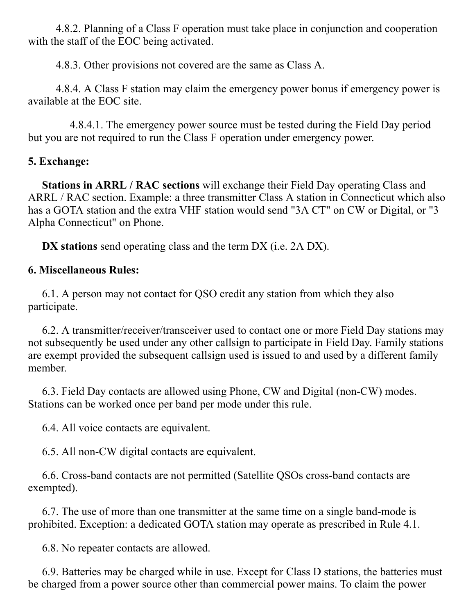4.8.2. Planning of a Class F operation must take place in conjunction and cooperation with the staff of the EOC being activated.

4.8.3. Other provisions not covered are the same as Class A.

4.8.4. A Class F station may claim the emergency power bonus if emergency power is available at the EOC site.

4.8.4.1. The emergency power source must be tested during the Field Day period but you are not required to run the Class F operation under emergency power.

#### **5. Exchange:**

 **Stations in ARRL / RAC sections** will exchange their Field Day operating Class and ARRL / RAC section. Example: a three transmitter Class A station in Connecticut which also has a GOTA station and the extra VHF station would send "3A CT" on CW or Digital, or "3 Alpha Connecticut" on Phone.

 **DX stations** send operating class and the term DX (i.e. 2A DX).

### **6. Miscellaneous Rules:**

6.1. A person may not contact for QSO credit any station from which they also participate.

6.2. A transmitter/receiver/transceiver used to contact one or more Field Day stations may not subsequently be used under any other callsign to participate in Field Day. Family stations are exempt provided the subsequent callsign used is issued to and used by a different family member.

 6.3. Field Day contacts are allowed using Phone, CW and Digital (non-CW) modes. Stations can be worked once per band per mode under this rule.

6.4. All voice contacts are equivalent.

6.5. All non-CW digital contacts are equivalent.

6.6. Cross-band contacts are not permitted (Satellite QSOs cross-band contacts are exempted).

6.7. The use of more than one transmitter at the same time on a single band-mode is prohibited. Exception: a dedicated GOTA station may operate as prescribed in Rule 4.1.

6.8. No repeater contacts are allowed.

6.9. Batteries may be charged while in use. Except for Class D stations, the batteries must be charged from a power source other than commercial power mains. To claim the power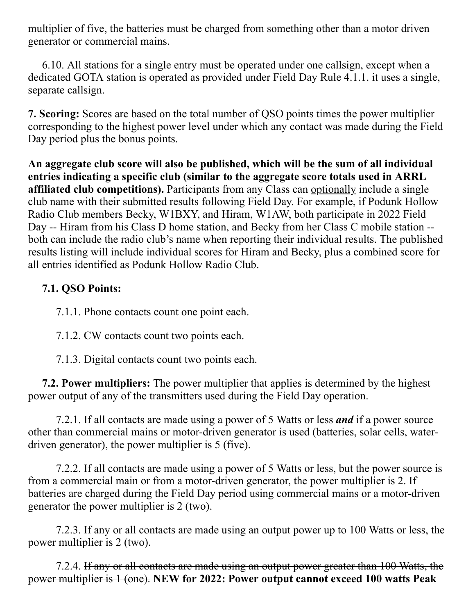multiplier of five, the batteries must be charged from something other than a motor driven generator or commercial mains.

 6.10. All stations for a single entry must be operated under one callsign, except when a dedicated GOTA station is operated as provided under Field Day Rule 4.1.1. it uses a single, separate callsign.

**7. Scoring:** Scores are based on the total number of QSO points times the power multiplier corresponding to the highest power level under which any contact was made during the Field Day period plus the bonus points.

**An aggregate club score will also be published, which will be the sum of all individual entries indicating a specific club (similar to the aggregate score totals used in ARRL affiliated club competitions).** Participants from any Class can optionally include a single club name with their submitted results following Field Day. For example, if Podunk Hollow Radio Club members Becky, W1BXY, and Hiram, W1AW, both participate in 2022 Field Day -- Hiram from his Class D home station, and Becky from her Class C mobile station -both can include the radio club's name when reporting their individual results. The published results listing will include individual scores for Hiram and Becky, plus a combined score for all entries identified as Podunk Hollow Radio Club.

# **7.1. QSO Points:**

7.1.1. Phone contacts count one point each.

7.1.2. CW contacts count two points each.

7.1.3. Digital contacts count two points each.

**7.2. Power multipliers:** The power multiplier that applies is determined by the highest power output of any of the transmitters used during the Field Day operation.

7.2.1. If all contacts are made using a power of 5 Watts or less *and* if a power source other than commercial mains or motor-driven generator is used (batteries, solar cells, waterdriven generator), the power multiplier is 5 (five).

7.2.2. If all contacts are made using a power of 5 Watts or less, but the power source is from a commercial main or from a motor-driven generator, the power multiplier is 2. If batteries are charged during the Field Day period using commercial mains or a motor-driven generator the power multiplier is 2 (two).

7.2.3. If any or all contacts are made using an output power up to 100 Watts or less, the power multiplier is 2 (two).

7.2.4. If any or all contacts are made using an output power greater than 100 Watts, the power multiplier is 1 (one). **NEW for 2022: Power output cannot exceed 100 watts Peak**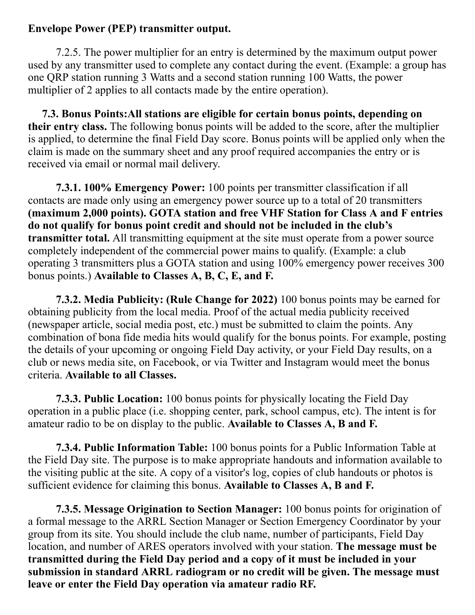#### **Envelope Power (PEP) transmitter output.**

7.2.5. The power multiplier for an entry is determined by the maximum output power used by any transmitter used to complete any contact during the event. (Example: a group has one QRP station running 3 Watts and a second station running 100 Watts, the power multiplier of 2 applies to all contacts made by the entire operation).

**7.3. Bonus Points:All stations are eligible for certain bonus points, depending on their entry class.** The following bonus points will be added to the score, after the multiplier is applied, to determine the final Field Day score. Bonus points will be applied only when the claim is made on the summary sheet and any proof required accompanies the entry or is received via email or normal mail delivery.

**7.3.1. 100% Emergency Power:** 100 points per transmitter classification if all contacts are made only using an emergency power source up to a total of 20 transmitters **(maximum 2,000 points). GOTA station and free VHF Station for Class A and F entries do not qualify for bonus point credit and should not be included in the club's transmitter total.** All transmitting equipment at the site must operate from a power source completely independent of the commercial power mains to qualify. (Example: a club operating 3 transmitters plus a GOTA station and using 100% emergency power receives 300 bonus points.) **Available to Classes A, B, C, E, and F.**

**7.3.2. Media Publicity: (Rule Change for 2022)** 100 bonus points may be earned for obtaining publicity from the local media. Proof of the actual media publicity received (newspaper article, social media post, etc.) must be submitted to claim the points. Any combination of bona fide media hits would qualify for the bonus points. For example, posting the details of your upcoming or ongoing Field Day activity, or your Field Day results, on a club or news media site, on Facebook, or via Twitter and Instagram would meet the bonus criteria. **Available to all Classes.**

**7.3.3. Public Location:** 100 bonus points for physically locating the Field Day operation in a public place (i.e. shopping center, park, school campus, etc). The intent is for amateur radio to be on display to the public. **Available to Classes A, B and F.**

**7.3.4. Public Information Table:** 100 bonus points for a Public Information Table at the Field Day site. The purpose is to make appropriate handouts and information available to the visiting public at the site. A copy of a visitor's log, copies of club handouts or photos is sufficient evidence for claiming this bonus. **Available to Classes A, B and F.**

**7.3.5. Message Origination to Section Manager:** 100 bonus points for origination of a formal message to the ARRL Section Manager or Section Emergency Coordinator by your group from its site. You should include the club name, number of participants, Field Day location, and number of ARES operators involved with your station. **The message must be transmitted during the Field Day period and a copy of it must be included in your submission in standard ARRL radiogram or no credit will be given. The message must leave or enter the Field Day operation via amateur radio RF.**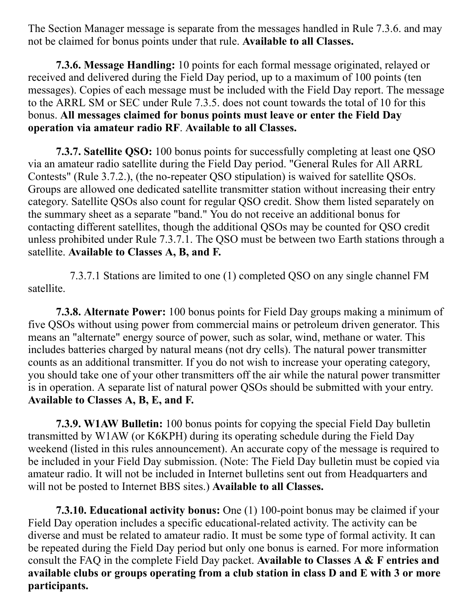The Section Manager message is separate from the messages handled in Rule 7.3.6. and may not be claimed for bonus points under that rule. **Available to all Classes.**

**7.3.6. Message Handling:** 10 points for each formal message originated, relayed or received and delivered during the Field Day period, up to a maximum of 100 points (ten messages). Copies of each message must be included with the Field Day report. The message to the ARRL SM or SEC under Rule 7.3.5. does not count towards the total of 10 for this bonus. **All messages claimed for bonus points must leave or enter the Field Day operation via amateur radio RF**. **Available to all Classes.**

**7.3.7. Satellite QSO:** 100 bonus points for successfully completing at least one QSO via an amateur radio satellite during the Field Day period. "General Rules for All ARRL Contests" (Rule 3.7.2.), (the no-repeater QSO stipulation) is waived for satellite QSOs. Groups are allowed one dedicated satellite transmitter station without increasing their entry category. Satellite QSOs also count for regular QSO credit. Show them listed separately on the summary sheet as a separate "band." You do not receive an additional bonus for contacting different satellites, though the additional QSOs may be counted for QSO credit unless prohibited under Rule 7.3.7.1. The QSO must be between two Earth stations through a satellite. **Available to Classes A, B, and F.**

7.3.7.1 Stations are limited to one (1) completed QSO on any single channel FM satellite.

**7.3.8. Alternate Power:** 100 bonus points for Field Day groups making a minimum of five QSOs without using power from commercial mains or petroleum driven generator. This means an "alternate" energy source of power, such as solar, wind, methane or water. This includes batteries charged by natural means (not dry cells). The natural power transmitter counts as an additional transmitter. If you do not wish to increase your operating category, you should take one of your other transmitters off the air while the natural power transmitter is in operation. A separate list of natural power QSOs should be submitted with your entry. **Available to Classes A, B, E, and F.**

**7.3.9. W1AW Bulletin:** 100 bonus points for copying the special Field Day bulletin transmitted by W1AW (or K6KPH) during its operating schedule during the Field Day weekend (listed in this rules announcement). An accurate copy of the message is required to be included in your Field Day submission. (Note: The Field Day bulletin must be copied via amateur radio. It will not be included in Internet bulletins sent out from Headquarters and will not be posted to Internet BBS sites.) **Available to all Classes.**

 **7.3.10. Educational activity bonus:** One (1) 100-point bonus may be claimed if your Field Day operation includes a specific educational-related activity. The activity can be diverse and must be related to amateur radio. It must be some type of formal activity. It can be repeated during the Field Day period but only one bonus is earned. For more information consult the FAQ in the complete Field Day packet. **Available to Classes A & F entries and available clubs or groups operating from a club station in class D and E with 3 or more participants.**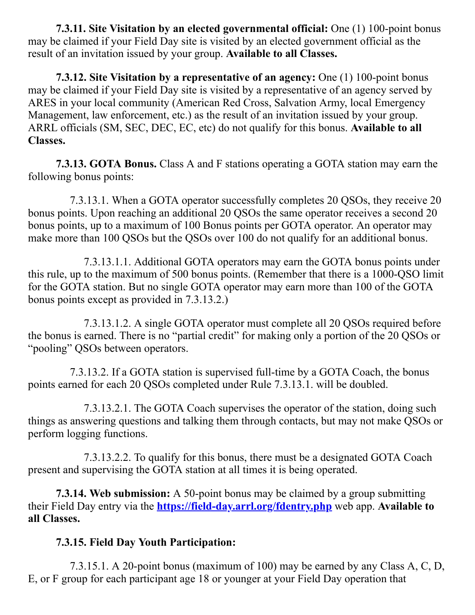**7.3.11. Site Visitation by an elected governmental official:** One (1) 100-point bonus may be claimed if your Field Day site is visited by an elected government official as the result of an invitation issued by your group. **Available to all Classes.**

 **7.3.12. Site Visitation by a representative of an agency:** One (1) 100-point bonus may be claimed if your Field Day site is visited by a representative of an agency served by ARES in your local community (American Red Cross, Salvation Army, local Emergency Management, law enforcement, etc.) as the result of an invitation issued by your group. ARRL officials (SM, SEC, DEC, EC, etc) do not qualify for this bonus. **Available to all Classes.**

**7.3.13. GOTA Bonus.** Class A and F stations operating a GOTA station may earn the following bonus points:

 7.3.13.1. When a GOTA operator successfully completes 20 QSOs, they receive 20 bonus points. Upon reaching an additional 20 QSOs the same operator receives a second 20 bonus points, up to a maximum of 100 Bonus points per GOTA operator. An operator may make more than 100 QSOs but the QSOs over 100 do not qualify for an additional bonus.

7.3.13.1.1. Additional GOTA operators may earn the GOTA bonus points under this rule, up to the maximum of 500 bonus points. (Remember that there is a 1000-QSO limit for the GOTA station. But no single GOTA operator may earn more than 100 of the GOTA bonus points except as provided in 7.3.13.2.)

7.3.13.1.2. A single GOTA operator must complete all 20 QSOs required before the bonus is earned. There is no "partial credit" for making only a portion of the 20 QSOs or "pooling" QSOs between operators.

7.3.13.2. If a GOTA station is supervised full-time by a GOTA Coach, the bonus points earned for each 20 QSOs completed under Rule 7.3.13.1. will be doubled.

 7.3.13.2.1. The GOTA Coach supervises the operator of the station, doing such things as answering questions and talking them through contacts, but may not make QSOs or perform logging functions.

 7.3.13.2.2. To qualify for this bonus, there must be a designated GOTA Coach present and supervising the GOTA station at all times it is being operated.

**7.3.14. Web submission:** A 50-point bonus may be claimed by a group submitting their Field Day entry via the **<https://field-day.arrl.org/fdentry.php>** web app. **Available to all Classes.**

# **7.3.15. Field Day Youth Participation:**

7.3.15.1. A 20-point bonus (maximum of 100) may be earned by any Class A, C, D, E, or F group for each participant age 18 or younger at your Field Day operation that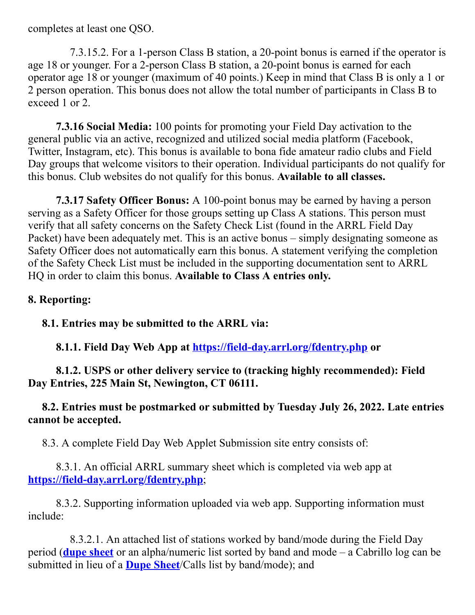completes at least one QSO.

7.3.15.2. For a 1-person Class B station, a 20-point bonus is earned if the operator is age 18 or younger. For a 2-person Class B station, a 20-point bonus is earned for each operator age 18 or younger (maximum of 40 points.) Keep in mind that Class B is only a 1 or 2 person operation. This bonus does not allow the total number of participants in Class B to exceed 1 or 2.

**7.3.16 Social Media:** 100 points for promoting your Field Day activation to the general public via an active, recognized and utilized social media platform (Facebook, Twitter, Instagram, etc). This bonus is available to bona fide amateur radio clubs and Field Day groups that welcome visitors to their operation. Individual participants do not qualify for this bonus. Club websites do not qualify for this bonus. **Available to all classes.**

**7.3.17 Safety Officer Bonus:** A 100-point bonus may be earned by having a person serving as a Safety Officer for those groups setting up Class A stations. This person must verify that all safety concerns on the Safety Check List (found in the ARRL Field Day Packet) have been adequately met. This is an active bonus – simply designating someone as Safety Officer does not automatically earn this bonus. A statement verifying the completion of the Safety Check List must be included in the supporting documentation sent to ARRL HQ in order to claim this bonus. **Available to Class A entries only.**

#### **8. Reporting:**

**8.1. Entries may be submitted to the ARRL via:**

**8.1.1. Field Day Web App at <https://field-day.arrl.org/fdentry.php> or**

**8.1.2. USPS or other delivery service to (tracking highly recommended): Field Day Entries, 225 Main St, Newington, CT 06111.**

**8.2. Entries must be postmarked or submitted by Tuesday July 26, 2022. Late entries cannot be accepted.**

8.3. A complete Field Day Web Applet Submission site entry consists of:

8.3.1. An official ARRL summary sheet which is completed via web app at **<https://field-day.arrl.org/fdentry.php>**;

8.3.2. Supporting information uploaded via web app. Supporting information must include:

8.3.2.1. An attached list of stations worked by band/mode during the Field Day period (**[dupe sheet](http://www.arrl.org/files/file/Field-Day/2019/2018-Field-Day-2-page-dupesheet.pdf)** or an alpha/numeric list sorted by band and mode – a Cabrillo log can be submitted in lieu of a **[Dupe Sheet](http://www.arrl.org/files/file/Field-Day/2019/2018-Field-Day-2-page-dupesheet.pdf)**/Calls list by band/mode); and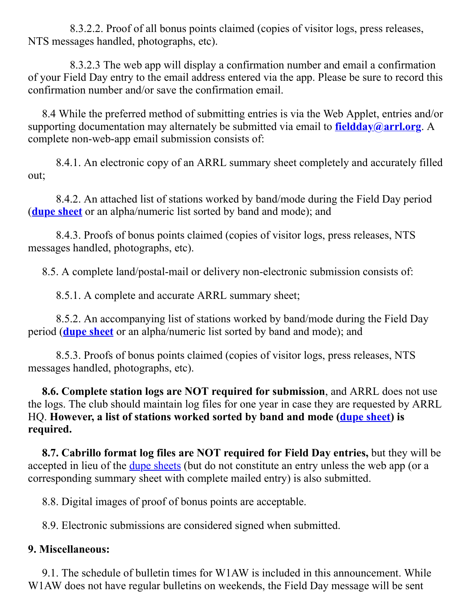8.3.2.2. Proof of all bonus points claimed (copies of visitor logs, press releases, NTS messages handled, photographs, etc).

8.3.2.3 The web app will display a confirmation number and email a confirmation of your Field Day entry to the email address entered via the app. Please be sure to record this confirmation number and/or save the confirmation email.

8.4 While the preferred method of submitting entries is via the Web Applet, entries and/or supporting documentation may alternately be submitted via email to **[fieldday@arrl.org](mailto:fieldday@arrl.org?subject=ARRL%20Field%20Day%20)**. A complete non-web-app email submission consists of:

8.4.1. An electronic copy of an ARRL summary sheet completely and accurately filled out;

8.4.2. An attached list of stations worked by band/mode during the Field Day period (**[dupe sheet](http://www.arrl.org/files/file/Field-Day/2019/2018-Field-Day-2-page-dupesheet.pdf)** or an alpha/numeric list sorted by band and mode); and

8.4.3. Proofs of bonus points claimed (copies of visitor logs, press releases, NTS messages handled, photographs, etc).

8.5. A complete land/postal-mail or delivery non-electronic submission consists of:

8.5.1. A complete and accurate ARRL summary sheet;

8.5.2. An accompanying list of stations worked by band/mode during the Field Day period (**[dupe sheet](http://www.arrl.org/files/file/Field-Day/2019/2018-Field-Day-2-page-dupesheet.pdf)** or an alpha/numeric list sorted by band and mode); and

8.5.3. Proofs of bonus points claimed (copies of visitor logs, press releases, NTS messages handled, photographs, etc).

**8.6. Complete station logs are NOT required for submission**, and ARRL does not use the logs. The club should maintain log files for one year in case they are requested by ARRL HQ. **However, a list of stations worked sorted by band and mode [\(dupe sheet](http://www.arrl.org/files/file/Field-Day/2019/2018-Field-Day-2-page-dupesheet.pdf)) is required.**

**8.7. Cabrillo format log files are NOT required for Field Day entries,** but they will be accepted in lieu of the <u>[dupe sheets](http://www.arrl.org/files/file/Field-Day/2019/2018-Field-Day-2-page-dupesheet.pdf)</u> (but do not constitute an entry unless the web app (or a corresponding summary sheet with complete mailed entry) is also submitted.

8.8. Digital images of proof of bonus points are acceptable.

8.9. Electronic submissions are considered signed when submitted.

# **9. Miscellaneous:**

9.1. The schedule of bulletin times for W1AW is included in this announcement. While W1AW does not have regular bulletins on weekends, the Field Day message will be sent